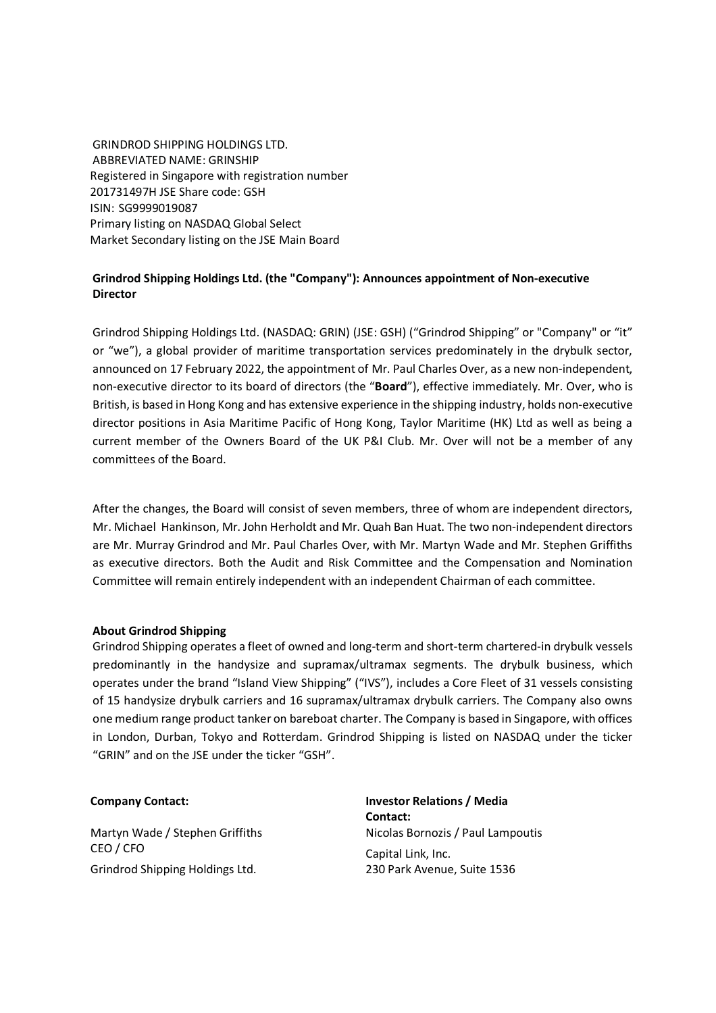GRINDROD SHIPPING HOLDINGS LTD. ABBREVIATED NAME: GRINSHIP Registered in Singapore with registration number 201731497H JSE Share code: GSH ISIN: SG9999019087 Primary listing on NASDAQ Global Select Market Secondary listing on the JSE Main Board

## **Grindrod Shipping Holdings Ltd. (the "Company"): Announces appointment of Non-executive Director**

Grindrod Shipping Holdings Ltd. (NASDAQ: GRIN) (JSE: GSH) ("Grindrod Shipping" or "Company" or "it" or "we"), a global provider of maritime transportation services predominately in the drybulk sector, announced on 17 February 2022, the appointment of Mr. Paul Charles Over, as a new non-independent, non-executive director to its board of directors (the "**Board**"), effective immediately. Mr. Over, who is British, is based in Hong Kong and has extensive experience in the shipping industry, holds non-executive director positions in Asia Maritime Pacific of Hong Kong, Taylor Maritime (HK) Ltd as well as being a current member of the Owners Board of the UK P&I Club. Mr. Over will not be a member of any committees of the Board.

After the changes, the Board will consist of seven members, three of whom are independent directors, Mr. Michael Hankinson, Mr. John Herholdt and Mr. Quah Ban Huat. The two non-independent directors are Mr. Murray Grindrod and Mr. Paul Charles Over, with Mr. Martyn Wade and Mr. Stephen Griffiths as executive directors. Both the Audit and Risk Committee and the Compensation and Nomination Committee will remain entirely independent with an independent Chairman of each committee.

## **About Grindrod Shipping**

Grindrod Shipping operates a fleet of owned and long-term and short-term chartered-in drybulk vessels predominantly in the handysize and supramax/ultramax segments. The drybulk business, which operates under the brand "Island View Shipping" ("IVS"), includes a Core Fleet of 31 vessels consisting of 15 handysize drybulk carriers and 16 supramax/ultramax drybulk carriers. The Company also owns one medium range product tanker on bareboat charter. The Company is based in Singapore, with offices in London, Durban, Tokyo and Rotterdam. Grindrod Shipping is listed on NASDAQ under the ticker "GRIN" and on the JSE under the ticker "GSH".

CEO / CFO CAPITAL CAPITAL CAPITAL CAPITAL CAPITAL CAPITAL CAPITAL CAPITAL CAPITAL CAPITAL CAPITAL CAPITAL CAPITAL CAPITAL CAPITAL CAPITAL CAPITAL CAPITAL CAPITAL CAPITAL CAPITAL CAPITAL CAPITAL CAPITAL CAPITAL CAPITAL CAPI Grindrod Shipping Holdings Ltd. 230 Park Avenue, Suite 1536

**Company Contact: Investor Relations / Media Contact:**  Martyn Wade / Stephen Griffiths Nicolas Bornozis / Paul Lampoutis